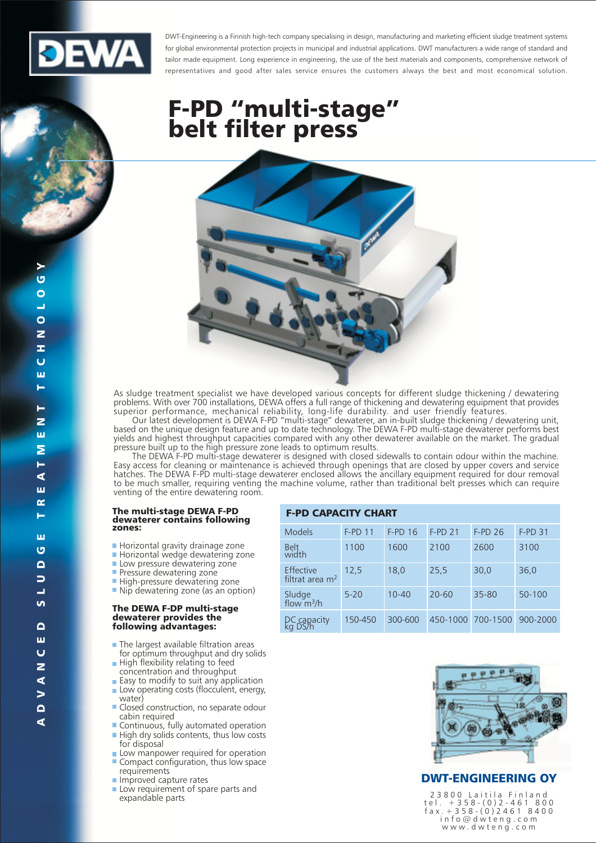

DWT-Engineering is a Finnish high-tech company specialising in design, manufacturing and marketing efficient sludge treatment systems for global environmental protection projects in municipal and industrial applications. DWT manufacturers a wide range of standard and tailor made equipment. Long experience in engineering, the use of the best materials and components, comprehensive network of representatives and good after sales service ensures the customers always the best and most economical solution.

# **F-PD "multi-stage"**<br>belt filter press



As sludge treatment specialist we have developed various concepts for different sludge thickening / dewatering problems. With over 700 installations, DEWA offers a full range of thickening and dewatering equipment that provides superior performance, mechanical reliability, long-life durability, and user friendly features.<br>Qur latest development is DEWA F-PD "multi-stage" dewaterer, an in-built sludge thickening / dewatering unit,

based on the unique design feature and up to date technology. The DEWA F-PD multi-stage dewaterer performs best yields and highest throughput capacities compared with any other dewaterer available on the market. The gradual<br>pressure in the high pressure zone leads to optimum results.

The DEWA F-PD multi-stage dewaterer is designed with closed sidewalls to contain odour within the machine. Easy access for cleaning or maintenance is achieved through openings that are closed by upper covers and service hatches. The DEWA F-PD multi-stage dewaterer enclosed allows the ancillary equipment required for dour removal to be much smaller, requiring venting the machine volume, rather than traditional belt presses which can require venting of the entire dewatering room.

### The multi-stage DEWA F-PD<br>dewaterer contains following zones:

- Horizontal gravity drainage zone
- Horizontal wedge dewatering zone
- Low pressure dewatering zone
- Pressure dewatering zone
- High-pressure dewatering zone
- Nip dewatering zone (as an option)

#### The DEWA F-DP multi-stage dewaterer provides the following advantages:

- The largest available filtration areas for optimum throughput and dry solids
- High flexibility relating to feed concentration and throughput
- Easy to modify to suit any application Low operating costs (flocculent, energy,
- water) ■ Closed construction, no separate odour cabin required
- Continuous, fully automated operation High dry solids contents, thus low costs for disposal
- Low manpower required for operation Compact configuration, thus low space requirements
- Improved capture rates
- Low requirement of spare parts and expandable parts

| F-PD CAPACII Y CHARI           |           |           |                   |           |                |  |  |  |  |
|--------------------------------|-----------|-----------|-------------------|-----------|----------------|--|--|--|--|
| <b>Models</b>                  | $F-PD$ 11 | $F-PD$ 16 | $F-PD21$          | $F-PD26$  | <b>F-PD 31</b> |  |  |  |  |
| Belt<br>width                  | 1100      | 1600      | 2100              | 2600      | 3100           |  |  |  |  |
| Effective<br>filtrat area $m2$ | 12,5      | 18,0      | 25,5              | 30,0      | 36,0           |  |  |  |  |
| Sludge<br>flow $m^3/h$         | $5 - 20$  | $10 - 40$ | $20 - 60$         | $35 - 80$ | $50 - 100$     |  |  |  |  |
| DC capacity<br>kg DS/h         | 150-450   | 300-600   | 450-1000 700-1500 |           | 900-2000       |  |  |  |  |



### **DWT-ENGINEERING OY**

23800 Laitila Finland<br>tel. +358-(0)2-461800<br>fax. +358-(0)24618400 info@dwteng.com<br>www.dwteng.com

⋖